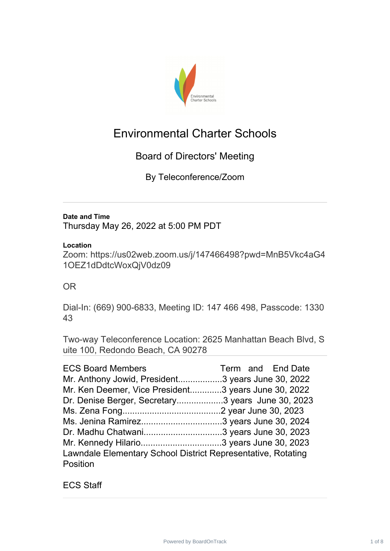

# Environmental Charter Schools

# Board of Directors' Meeting

By Teleconference/Zoom

#### **Date and Time**

Thursday May 26, 2022 at 5:00 PM PDT

#### **Location**

Zoom: https://us02web.zoom.us/j/147466498?pwd=MnB5Vkc4aG4 1OEZ1dDdtcWoxQjV0dz09

## OR

Dial-In: (669) 900-6833, Meeting ID: 147 466 498, Passcode: 1330 43

Two-way Teleconference Location: 2625 Manhattan Beach Blvd, S uite 100, Redondo Beach, CA 90278

| <b>ECS Board Members</b><br>Mr. Anthony Jowid, President3 years June 30, 2022                            | Term and End Date |
|----------------------------------------------------------------------------------------------------------|-------------------|
| Mr. Ken Deemer, Vice President3 years June 30, 2022<br>Dr. Denise Berger, Secretary3 years June 30, 2023 |                   |
|                                                                                                          |                   |
| Lawndale Elementary School District Representative, Rotating<br>Position                                 |                   |

ECS Staff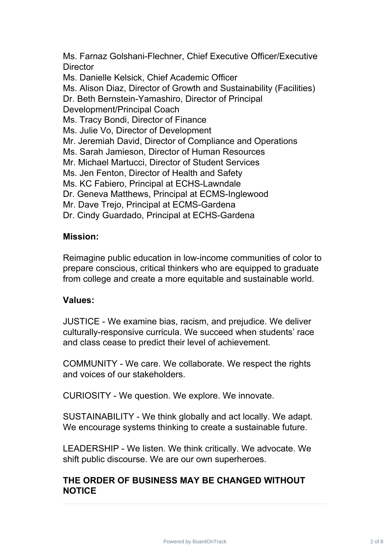Ms. Farnaz Golshani-Flechner, Chief Executive Officer/Executive **Director** 

Ms. Danielle Kelsick, Chief Academic Officer

Ms. Alison Diaz, Director of Growth and Sustainability (Facilities)

Dr. Beth Bernstein-Yamashiro, Director of Principal

Development/Principal Coach

Ms. Tracy Bondi, Director of Finance

Ms. Julie Vo, Director of Development

Mr. Jeremiah David, Director of Compliance and Operations

Ms. Sarah Jamieson, Director of Human Resources

Mr. Michael Martucci, Director of Student Services

Ms. Jen Fenton, Director of Health and Safety

Ms. KC Fabiero, Principal at ECHS-Lawndale

Dr. Geneva Matthews, Principal at ECMS-Inglewood

Mr. Dave Trejo, Principal at ECMS-Gardena

Dr. Cindy Guardado, Principal at ECHS-Gardena

#### **Mission:**

Reimagine public education in low-income communities of color to prepare conscious, critical thinkers who are equipped to graduate from college and create a more equitable and sustainable world.

#### **Values:**

JUSTICE - We examine bias, racism, and prejudice. We deliver culturally-responsive curricula. We succeed when students' race and class cease to predict their level of achievement.

COMMUNITY - We care. We collaborate. We respect the rights and voices of our stakeholders.

CURIOSITY - We question. We explore. We innovate.

SUSTAINABILITY - We think globally and act locally. We adapt. We encourage systems thinking to create a sustainable future.

LEADERSHIP - We listen. We think critically. We advocate. We shift public discourse. We are our own superheroes.

## **THE ORDER OF BUSINESS MAY BE CHANGED WITHOUT NOTICE**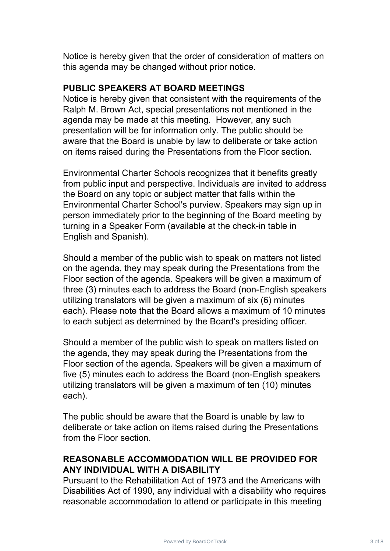Notice is hereby given that the order of consideration of matters on this agenda may be changed without prior notice.

#### **PUBLIC SPEAKERS AT BOARD MEETINGS**

Notice is hereby given that consistent with the requirements of the Ralph M. Brown Act, special presentations not mentioned in the agenda may be made at this meeting. However, any such presentation will be for information only. The public should be aware that the Board is unable by law to deliberate or take action on items raised during the Presentations from the Floor section.

Environmental Charter Schools recognizes that it benefits greatly from public input and perspective. Individuals are invited to address the Board on any topic or subject matter that falls within the Environmental Charter School's purview. Speakers may sign up in person immediately prior to the beginning of the Board meeting by turning in a Speaker Form (available at the check-in table in English and Spanish).

Should a member of the public wish to speak on matters not listed on the agenda, they may speak during the Presentations from the Floor section of the agenda. Speakers will be given a maximum of three (3) minutes each to address the Board (non-English speakers utilizing translators will be given a maximum of six (6) minutes each). Please note that the Board allows a maximum of 10 minutes to each subject as determined by the Board's presiding officer.

Should a member of the public wish to speak on matters listed on the agenda, they may speak during the Presentations from the Floor section of the agenda. Speakers will be given a maximum of five (5) minutes each to address the Board (non-English speakers utilizing translators will be given a maximum of ten (10) minutes each).

The public should be aware that the Board is unable by law to deliberate or take action on items raised during the Presentations from the Floor section.

# **REASONABLE ACCOMMODATION WILL BE PROVIDED FOR ANY INDIVIDUAL WITH A DISABILITY**

Pursuant to the Rehabilitation Act of 1973 and the Americans with Disabilities Act of 1990, any individual with a disability who requires reasonable accommodation to attend or participate in this meeting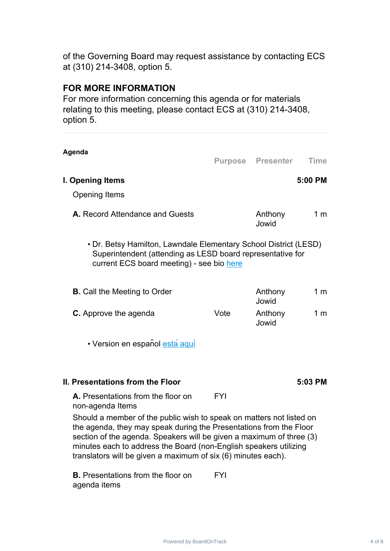of the Governing Board may request assistance by contacting ECS at (310) 214-3408, option 5.

#### **FOR MORE INFORMATION**

For more information concerning this agenda or for materials relating to this meeting, please contact ECS at (310) 214-3408, option 5.

| Agenda                                                                                                                                                                                                                                                                                                                                                   |            | <b>Purpose Presenter Time</b> |                |
|----------------------------------------------------------------------------------------------------------------------------------------------------------------------------------------------------------------------------------------------------------------------------------------------------------------------------------------------------------|------------|-------------------------------|----------------|
|                                                                                                                                                                                                                                                                                                                                                          |            |                               |                |
| I. Opening Items                                                                                                                                                                                                                                                                                                                                         |            |                               | 5:00 PM        |
| <b>Opening Items</b>                                                                                                                                                                                                                                                                                                                                     |            |                               |                |
| A. Record Attendance and Guests                                                                                                                                                                                                                                                                                                                          |            | Anthony<br>Jowid              | 1 <sub>m</sub> |
| • Dr. Betsy Hamilton, Lawndale Elementary School District (LESD)<br>Superintendent (attending as LESD board representative for<br>current ECS board meeting) - see bio here                                                                                                                                                                              |            |                               |                |
| <b>B.</b> Call the Meeting to Order                                                                                                                                                                                                                                                                                                                      |            | Anthony<br>Jowid              | 1 <sub>m</sub> |
| C. Approve the agenda                                                                                                                                                                                                                                                                                                                                    | Vote       | Anthony<br>Jowid              | 1 <sub>m</sub> |
| • Version en español esta aqui                                                                                                                                                                                                                                                                                                                           |            |                               |                |
| <b>II. Presentations from the Floor</b>                                                                                                                                                                                                                                                                                                                  |            |                               | 5:03 PM        |
| A. Presentations from the floor on<br>non-agenda Items                                                                                                                                                                                                                                                                                                   | <b>FYI</b> |                               |                |
| Should a member of the public wish to speak on matters not listed on<br>the agenda, they may speak during the Presentations from the Floor<br>section of the agenda. Speakers will be given a maximum of three (3)<br>minutes each to address the Board (non-English speakers utilizing<br>translators will be given a maximum of six (6) minutes each). |            |                               |                |
| <b>B.</b> Presentations from the floor on<br>agenda items                                                                                                                                                                                                                                                                                                | <b>FYI</b> |                               |                |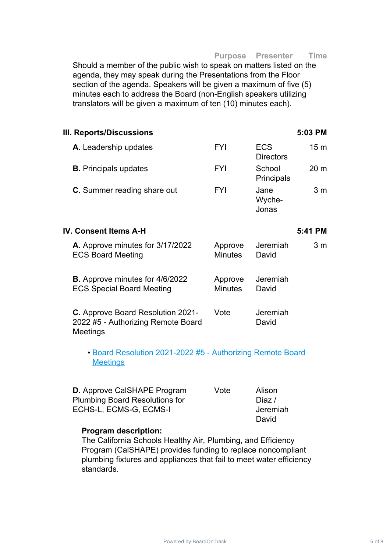#### **Purpose Presenter Time**

Should a member of the public wish to speak on matters listed on the agenda, they may speak during the Presentations from the Floor section of the agenda. Speakers will be given a maximum of five (5) minutes each to address the Board (non-English speakers utilizing translators will be given a maximum of ten (10) minutes each).

| III. Reports/Discussions     |            |                                | 5:03 PM         |
|------------------------------|------------|--------------------------------|-----------------|
| A. Leadership updates        | <b>FYI</b> | <b>ECS</b><br><b>Directors</b> | 15 <sub>m</sub> |
| <b>B.</b> Principals updates | <b>FYI</b> | School<br>Principals           | 20 <sub>m</sub> |
| C. Summer reading share out  | FYI        | Jane<br>Wyche-<br>Jonas        | 3 <sub>m</sub>  |

#### **A.** Approve minutes for 3/17/2022 ECS Board Meeting Approve **Minutes** Jeremiah David 3 m **B.** Approve minutes for 4/6/2022 ECS Special Board Meeting Approve Minutes Jeremiah David **C.** Approve Board Resolution 2021- 2022 #5 - Authorizing Remote Board Meetings Vote Jeremiah David

**IV. Consent Items A-H 5:41 PM**

• Board Resolution 2021-2022 #5 - [Authorizing](https://ecsonline.box.com/s/l956byl8097g4lewi4qn0u52glzn26vc) Remote Board **Meetings** 

| <b>D.</b> Approve CalSHAPE Program    | Vote | Alison   |
|---------------------------------------|------|----------|
| <b>Plumbing Board Resolutions for</b> |      | Diaz /   |
| ECHS-L, ECMS-G, ECMS-I                |      | Jeremiah |
|                                       |      | David    |

#### **Program description:**

The California Schools Healthy Air, Plumbing, and Efficiency Program (CalSHAPE) provides funding to replace noncompliant plumbing fixtures and appliances that fail to meet water efficiency standards.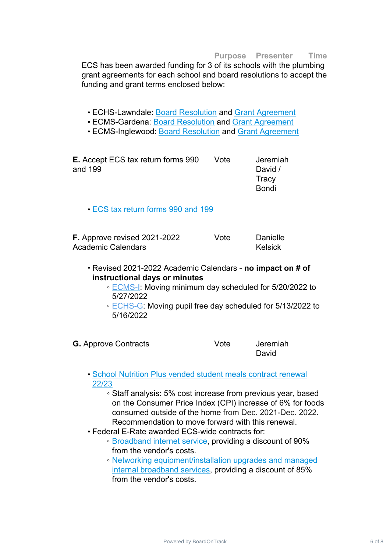#### **Purpose Presenter Time**

ECS has been awarded funding for 3 of its schools with the plumbing grant agreements for each school and board resolutions to accept the funding and grant terms enclosed below:

- ECHS-Lawndale: Board [Resolution](https://ecsonline.box.com/s/cmyw8sufnd05c459dcnar8anwkxrnslu) and Grant [Agreement](https://ecsonline.box.com/s/a4cwsx3fdfzzg4c2z4xi8mryf2abuy16)
- ECMS-Gardena: Board [Resolution](https://ecsonline.box.com/s/ksnolaar0479gqwp0rdoxkdzaudka1t1) and Grant [Agreement](https://ecsonline.box.com/s/28da0nbxva0cwrcktd3ts1yplpcxqpji)
- ECMS-Inglewood: Board [Resolution](https://ecsonline.box.com/s/fxaxsj7yje6p30mbyexwqwgxrimqw07p) and Grant [Agreement](https://ecsonline.box.com/s/wkmbb7xzebp4wukotw1rv230g7ydx8c9)

**E.** Accept ECS tax return forms 990 and 199 Vote Jeremiah David / **Tracy** Bondi

• ECS tax [return](https://ecsonline.box.com/s/7nuumg1sj1i1y9n7w4p9rw9uj216ahs7) forms 990 and 199

**F.** Approve revised 2021-2022 Academic Calendars Vote Danielle Kelsick

- Revised 2021-2022 Academic Calendars **no impact on # of instructional days or minutes**
	- [ECMS-I:](https://ecsonline.box.com/s/o1x26jl3h3g63z5v3scfs1d9ah98533w) Moving minimum day scheduled for 5/20/2022 to 5/27/2022
	- [ECHS-G](https://ecsonline.box.com/s/0hqkbm7t77y8yqoyprdrkv2kxolqi638): Moving pupil free day scheduled for 5/13/2022 to 5/16/2022

**G.** Approve Contracts **Vote** Vote Jeremiah

David

- School [Nutrition](https://ecsonline.box.com/s/veusqn9zvx33g0md5p5iub5z3itawl3g) Plus vended student meals contract renewal 22/23
	- Staff analysis: 5% cost increase from previous year, based on the Consumer Price Index (CPI) increase of 6% for foods consumed outside of the home from Dec. 2021-Dec. 2022. Recommendation to move forward with this renewal.
- Federal E-Rate awarded ECS-wide contracts for:
	- [Broadband](https://ecsonline.box.com/s/asp371c5r3k3vosfbxyx3vc9km75x4eg) internet service, providing a discount of 90% from the vendor's costs.
	- Networking [equipment/installation](https://ecsonline.box.com/s/olu6moqt3mldyed74rw01c29zw25b4j6) upgrades and managed internal broadband services, providing a discount of 85% from the vendor's costs.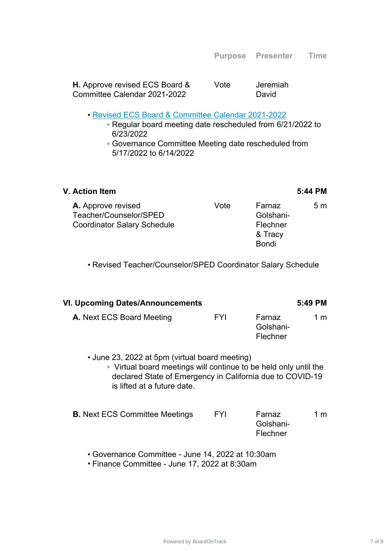**H.** Approve revised ECS Board & Committee Calendar 2021-2022 Vote Jeremiah David

#### • Revised ECS Board & [Committee](https://ecsonline.box.com/s/heuh9zck7of6i1sl7y89koxhrekmraf3) Calendar 2021-2022

- Regular board meeting date rescheduled from 6/21/2022 to 6/23/2022
- Governance Committee Meeting date rescheduled from 5/17/2022 to 6/14/2022

| <b>V. Action Item</b>                                                                     |      |                                                            | 5:44 PM |
|-------------------------------------------------------------------------------------------|------|------------------------------------------------------------|---------|
| <b>A.</b> Approve revised<br>Teacher/Counselor/SPED<br><b>Coordinator Salary Schedule</b> | Vote | Farnaz<br>Golshani-<br>Flechner<br>& Tracy<br><b>Bondi</b> | 5m      |

• Revised Teacher/Counselor/SPED Coordinator Salary Schedule

| VI. Upcoming Dates/Announcements               |     |                                 | 5:49 PM |
|------------------------------------------------|-----|---------------------------------|---------|
| A. Next ECS Board Meeting                      | FYI | Farnaz<br>Golshani-<br>Flechner | 1 m     |
| • June 23, 2022 at 5pm (virtual board meeting) |     |                                 |         |

◦ Virtual board meetings will continue to be held only until the declared State of Emergency in California due to COVID-19 is lifted at a future date.

| <b>B.</b> Next ECS Committee Meetings | <b>FYI</b> | Farnaz    | 1 m |
|---------------------------------------|------------|-----------|-----|
|                                       |            | Golshani- |     |
|                                       |            | Flechner  |     |

• Governance Committee - June 14, 2022 at 10:30am

• Finance Committee - June 17, 2022 at 8:30am